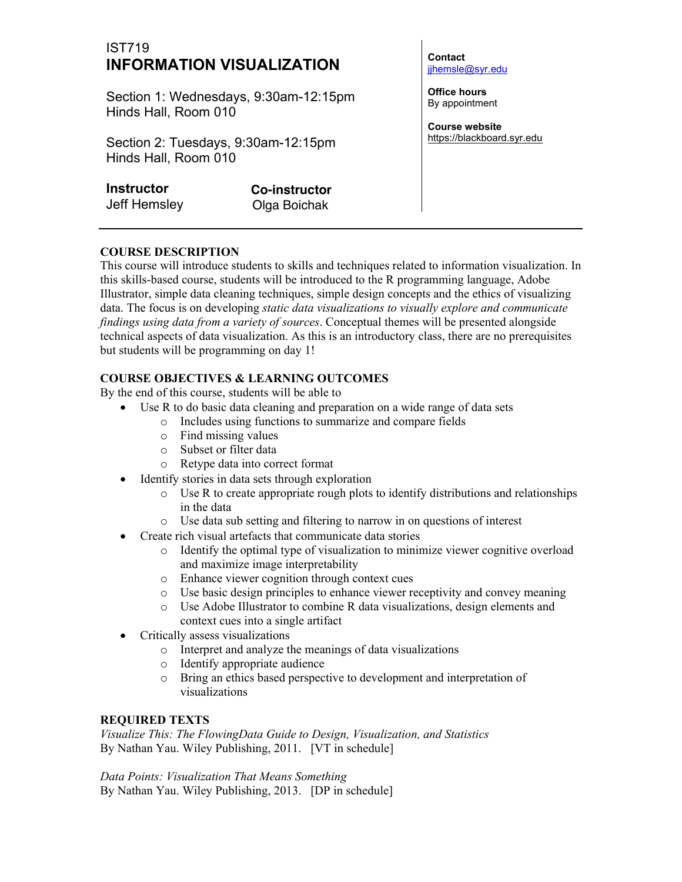# IST719 **INFORMATION VISUALIZATION**

Section 1: Wednesdays, 9:30am-12:15pm Hinds Hall, Room 010

Section 2: Tuesdays, 9:30am-12:15pm Hinds Hall, Room 010

| Instructor          |  |
|---------------------|--|
| <b>Jeff Hemsley</b> |  |

**Co-instructor** Olga Boichak

**Contact** jjhemsle@syr.edu

**Office hours**  By appointment

**Course website** https://blackboard.syr.edu

# **COURSE DESCRIPTION**

This course will introduce students to skills and techniques related to information visualization. In this skills-based course, students will be introduced to the R programming language, Adobe Illustrator, simple data cleaning techniques, simple design concepts and the ethics of visualizing data. The focus is on developing *static data visualizations to visually explore and communicate findings using data from a variety of sources*. Conceptual themes will be presented alongside technical aspects of data visualization. As this is an introductory class, there are no prerequisites but students will be programming on day 1!

## **COURSE OBJECTIVES & LEARNING OUTCOMES**

By the end of this course, students will be able to

- Use R to do basic data cleaning and preparation on a wide range of data sets
	- o Includes using functions to summarize and compare fields
	- o Find missing values
	- o Subset or filter data
	- o Retype data into correct format
- Identify stories in data sets through exploration
	- $\circ$  Use R to create appropriate rough plots to identify distributions and relationships in the data
	- o Use data sub setting and filtering to narrow in on questions of interest
- Create rich visual artefacts that communicate data stories
	- o Identify the optimal type of visualization to minimize viewer cognitive overload and maximize image interpretability
	- o Enhance viewer cognition through context cues
	- o Use basic design principles to enhance viewer receptivity and convey meaning
	- o Use Adobe Illustrator to combine R data visualizations, design elements and context cues into a single artifact
- Critically assess visualizations
	- o Interpret and analyze the meanings of data visualizations
	- o Identify appropriate audience
	- o Bring an ethics based perspective to development and interpretation of visualizations

#### **REQUIRED TEXTS**

*Visualize This: The FlowingData Guide to Design, Visualization, and Statistics* By Nathan Yau. Wiley Publishing, 2011. [VT in schedule]

*Data Points: Visualization That Means Something* By Nathan Yau. Wiley Publishing, 2013. [DP in schedule]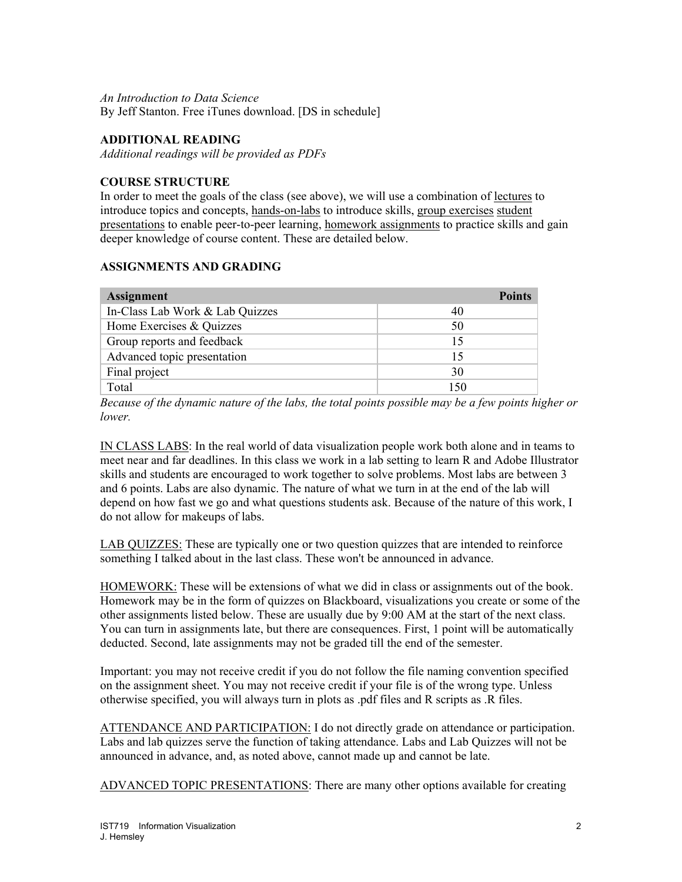#### *An Introduction to Data Science* By Jeff Stanton. Free iTunes download. [DS in schedule]

#### **ADDITIONAL READING**

*Additional readings will be provided as PDFs*

#### **COURSE STRUCTURE**

In order to meet the goals of the class (see above), we will use a combination of lectures to introduce topics and concepts, hands-on-labs to introduce skills, group exercises student presentations to enable peer-to-peer learning, homework assignments to practice skills and gain deeper knowledge of course content. These are detailed below.

#### **ASSIGNMENTS AND GRADING**

| <b>Assignment</b>               | <b>Points</b> |
|---------------------------------|---------------|
| In-Class Lab Work & Lab Quizzes | 40            |
| Home Exercises & Quizzes        | 50            |
| Group reports and feedback      | 15            |
| Advanced topic presentation     | 15            |
| Final project                   | 30            |
| Total                           | 150           |

*Because of the dynamic nature of the labs, the total points possible may be a few points higher or lower.*

IN CLASS LABS: In the real world of data visualization people work both alone and in teams to meet near and far deadlines. In this class we work in a lab setting to learn R and Adobe Illustrator skills and students are encouraged to work together to solve problems. Most labs are between 3 and 6 points. Labs are also dynamic. The nature of what we turn in at the end of the lab will depend on how fast we go and what questions students ask. Because of the nature of this work, I do not allow for makeups of labs.

LAB QUIZZES: These are typically one or two question quizzes that are intended to reinforce something I talked about in the last class. These won't be announced in advance.

HOMEWORK: These will be extensions of what we did in class or assignments out of the book. Homework may be in the form of quizzes on Blackboard, visualizations you create or some of the other assignments listed below. These are usually due by 9:00 AM at the start of the next class. You can turn in assignments late, but there are consequences. First, 1 point will be automatically deducted. Second, late assignments may not be graded till the end of the semester.

Important: you may not receive credit if you do not follow the file naming convention specified on the assignment sheet. You may not receive credit if your file is of the wrong type. Unless otherwise specified, you will always turn in plots as .pdf files and R scripts as .R files.

ATTENDANCE AND PARTICIPATION: I do not directly grade on attendance or participation. Labs and lab quizzes serve the function of taking attendance. Labs and Lab Quizzes will not be announced in advance, and, as noted above, cannot made up and cannot be late.

ADVANCED TOPIC PRESENTATIONS: There are many other options available for creating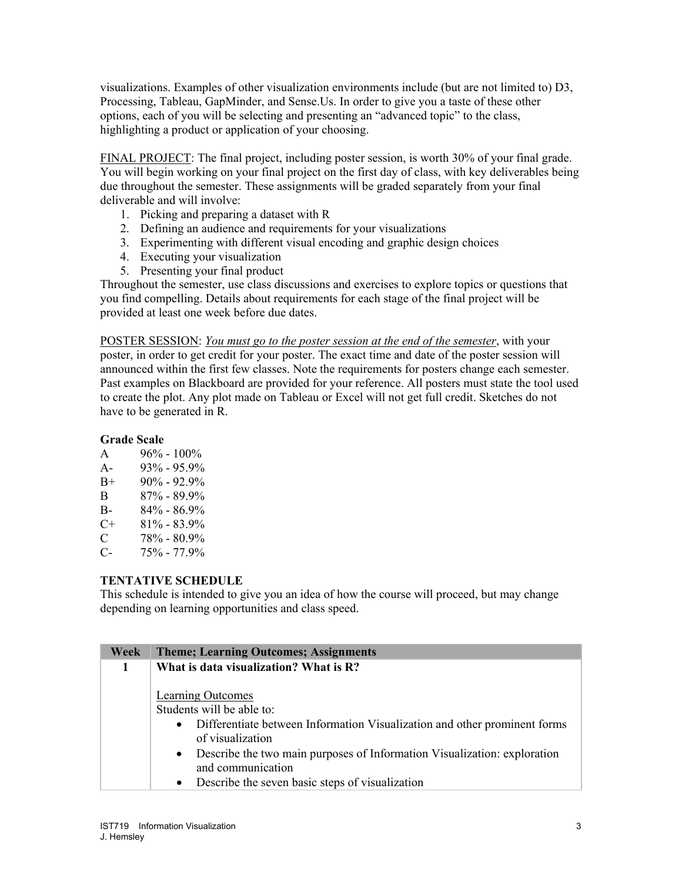visualizations. Examples of other visualization environments include (but are not limited to) D3, Processing, Tableau, GapMinder, and Sense.Us. In order to give you a taste of these other options, each of you will be selecting and presenting an "advanced topic" to the class, highlighting a product or application of your choosing.

FINAL PROJECT: The final project, including poster session, is worth 30% of your final grade. You will begin working on your final project on the first day of class, with key deliverables being due throughout the semester. These assignments will be graded separately from your final deliverable and will involve:

- 1. Picking and preparing a dataset with R
- 2. Defining an audience and requirements for your visualizations
- 3. Experimenting with different visual encoding and graphic design choices
- 4. Executing your visualization
- 5. Presenting your final product

Throughout the semester, use class discussions and exercises to explore topics or questions that you find compelling. Details about requirements for each stage of the final project will be provided at least one week before due dates.

POSTER SESSION: *You must go to the poster session at the end of the semester*, with your poster, in order to get credit for your poster. The exact time and date of the poster session will announced within the first few classes. Note the requirements for posters change each semester. Past examples on Blackboard are provided for your reference. All posters must state the tool used to create the plot. Any plot made on Tableau or Excel will not get full credit. Sketches do not have to be generated in R.

#### **Grade Scale**

| A | $96\% - 100\%$ |  |
|---|----------------|--|
|   |                |  |

- A-  $93\%$  95.9%  $B_+$  90% - 92.9% B 87% - 89.9%
- B- 84% 86.9%
- $C+ 81\% 83.9\%$
- 
- C  $78\% 80.9\%$ <br>C-  $75\% 77.9\%$ C- 75% - 77.9%

#### **TENTATIVE SCHEDULE**

This schedule is intended to give you an idea of how the course will proceed, but may change depending on learning opportunities and class speed.

| Week | <b>Theme; Learning Outcomes; Assignments</b>                                                                                                                                                                                                                                                                                               |
|------|--------------------------------------------------------------------------------------------------------------------------------------------------------------------------------------------------------------------------------------------------------------------------------------------------------------------------------------------|
|      | What is data visualization? What is R?                                                                                                                                                                                                                                                                                                     |
|      | Learning Outcomes<br>Students will be able to:<br>Differentiate between Information Visualization and other prominent forms<br>$\bullet$<br>of visualization<br>Describe the two main purposes of Information Visualization: exploration<br>$\bullet$<br>and communication<br>Describe the seven basic steps of visualization<br>$\bullet$ |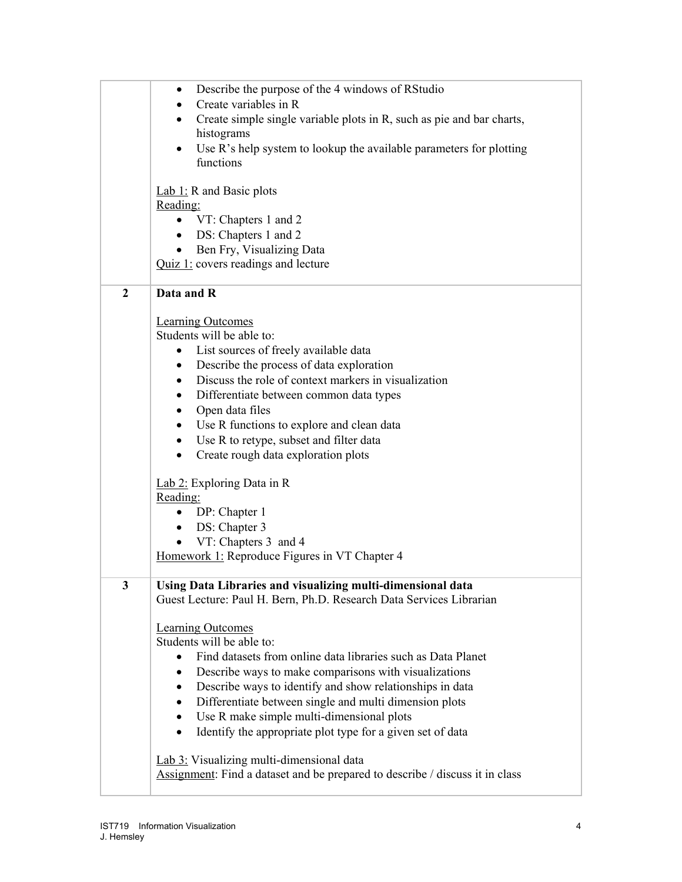|                | Describe the purpose of the 4 windows of RStudio<br>٠                                                                    |
|----------------|--------------------------------------------------------------------------------------------------------------------------|
|                | Create variables in R<br>$\bullet$<br>Create simple single variable plots in R, such as pie and bar charts,<br>$\bullet$ |
|                | histograms                                                                                                               |
|                | Use R's help system to lookup the available parameters for plotting<br>$\bullet$                                         |
|                | functions                                                                                                                |
|                | Lab 1: R and Basic plots                                                                                                 |
|                | Reading:                                                                                                                 |
|                | • VT: Chapters 1 and 2                                                                                                   |
|                | DS: Chapters 1 and 2<br>$\bullet$                                                                                        |
|                | Ben Fry, Visualizing Data<br>$Quiz 1$ : covers readings and lecture                                                      |
|                |                                                                                                                          |
| $\overline{2}$ | Data and R                                                                                                               |
|                | <b>Learning Outcomes</b>                                                                                                 |
|                | Students will be able to:                                                                                                |
|                | List sources of freely available data<br>٠                                                                               |
|                | Describe the process of data exploration<br>$\bullet$                                                                    |
|                | Discuss the role of context markers in visualization<br>$\bullet$                                                        |
|                | Differentiate between common data types<br>$\bullet$                                                                     |
|                | Open data files<br>$\bullet$                                                                                             |
|                | Use R functions to explore and clean data<br>$\bullet$                                                                   |
|                | Use R to retype, subset and filter data<br>$\bullet$                                                                     |
|                | Create rough data exploration plots<br>$\bullet$                                                                         |
|                | Lab 2: Exploring Data in R                                                                                               |
|                | Reading:                                                                                                                 |
|                | DP: Chapter 1<br>$\bullet$                                                                                               |
|                | DS: Chapter 3<br>$\bullet$                                                                                               |
|                | VT: Chapters 3 and 4<br>$\bullet$                                                                                        |
|                | Homework 1: Reproduce Figures in VT Chapter 4                                                                            |
| 3              | Using Data Libraries and visualizing multi-dimensional data                                                              |
|                | Guest Lecture: Paul H. Bern, Ph.D. Research Data Services Librarian                                                      |
|                | <b>Learning Outcomes</b>                                                                                                 |
|                | Students will be able to:                                                                                                |
|                | Find datasets from online data libraries such as Data Planet                                                             |
|                | Describe ways to make comparisons with visualizations<br>$\bullet$                                                       |
|                | Describe ways to identify and show relationships in data<br>$\bullet$                                                    |
|                | Differentiate between single and multi dimension plots<br>$\bullet$                                                      |
|                | Use R make simple multi-dimensional plots<br>$\bullet$                                                                   |
|                | Identify the appropriate plot type for a given set of data<br>$\bullet$                                                  |
|                | Lab 3: Visualizing multi-dimensional data                                                                                |
|                | Assignment: Find a dataset and be prepared to describe / discuss it in class                                             |
|                |                                                                                                                          |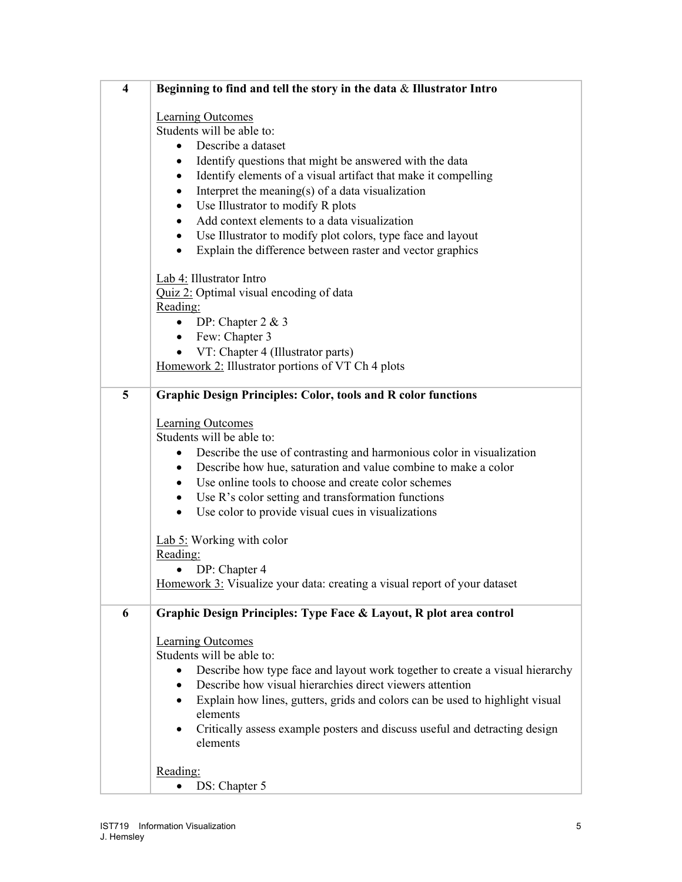| $\overline{\mathbf{4}}$ | Beginning to find and tell the story in the data $\&$ Illustrator Intro                                                                                                                                                                                                                                                                                                                                                                                                                                                                                                                                                                                             |
|-------------------------|---------------------------------------------------------------------------------------------------------------------------------------------------------------------------------------------------------------------------------------------------------------------------------------------------------------------------------------------------------------------------------------------------------------------------------------------------------------------------------------------------------------------------------------------------------------------------------------------------------------------------------------------------------------------|
|                         | <b>Learning Outcomes</b><br>Students will be able to:<br>Describe a dataset<br>$\bullet$<br>Identify questions that might be answered with the data<br>$\bullet$<br>Identify elements of a visual artifact that make it compelling<br>$\bullet$<br>Interpret the meaning(s) of a data visualization<br>$\bullet$<br>Use Illustrator to modify R plots<br>٠<br>Add context elements to a data visualization<br>Use Illustrator to modify plot colors, type face and layout<br>$\bullet$<br>Explain the difference between raster and vector graphics<br>$\bullet$                                                                                                    |
|                         | Lab 4: Illustrator Intro<br>Quiz 2: Optimal visual encoding of data<br>Reading:<br>DP: Chapter $2 & 3$<br>$\bullet$<br>• Few: Chapter 3<br>• $VT: Chapter 4 (Illustrator parts)$<br>Homework 2: Illustrator portions of VT Ch 4 plots                                                                                                                                                                                                                                                                                                                                                                                                                               |
| 5                       | <b>Graphic Design Principles: Color, tools and R color functions</b><br><b>Learning Outcomes</b><br>Students will be able to:<br>Describe the use of contrasting and harmonious color in visualization<br>$\bullet$<br>Describe how hue, saturation and value combine to make a color<br>$\bullet$<br>Use online tools to choose and create color schemes<br>$\bullet$<br>Use R's color setting and transformation functions<br>$\bullet$<br>Use color to provide visual cues in visualizations<br>$\bullet$<br>Lab $5$ : Working with color<br>Reading:<br>DP: Chapter 4<br>$\bullet$<br>Homework 3: Visualize your data: creating a visual report of your dataset |
| 6                       | Graphic Design Principles: Type Face & Layout, R plot area control<br><b>Learning Outcomes</b><br>Students will be able to:<br>Describe how type face and layout work together to create a visual hierarchy<br>Describe how visual hierarchies direct viewers attention<br>$\bullet$<br>Explain how lines, gutters, grids and colors can be used to highlight visual<br>elements<br>Critically assess example posters and discuss useful and detracting design<br>elements                                                                                                                                                                                          |
|                         | Reading:<br>DS: Chapter 5                                                                                                                                                                                                                                                                                                                                                                                                                                                                                                                                                                                                                                           |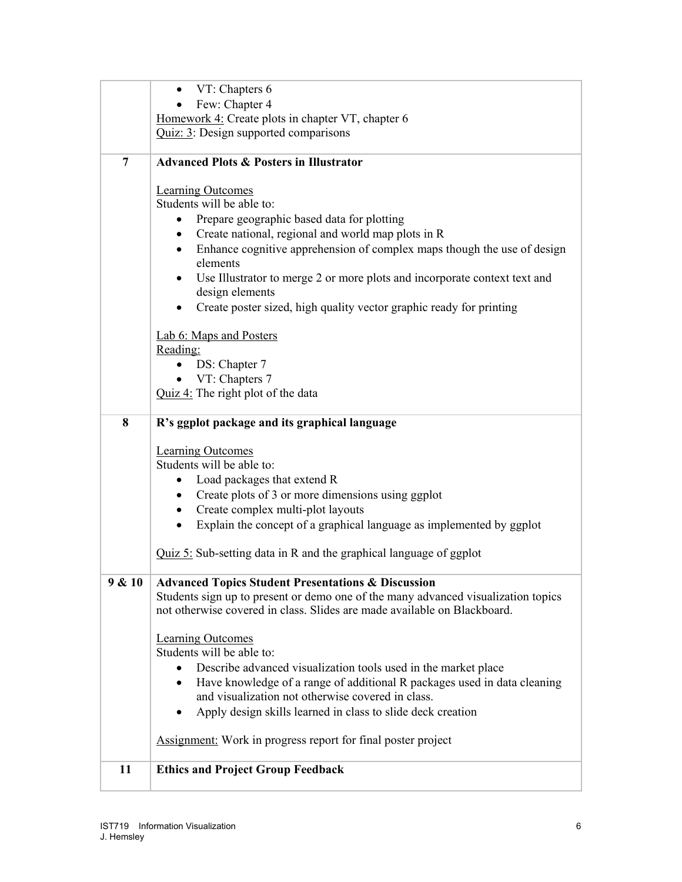|                | VT: Chapters 6                                                                    |
|----------------|-----------------------------------------------------------------------------------|
|                | Few: Chapter 4                                                                    |
|                | Homework 4: Create plots in chapter VT, chapter 6                                 |
|                | Quiz: 3: Design supported comparisons                                             |
| $\overline{7}$ | <b>Advanced Plots &amp; Posters in Illustrator</b>                                |
|                | <b>Learning Outcomes</b>                                                          |
|                | Students will be able to:                                                         |
|                | Prepare geographic based data for plotting                                        |
|                | Create national, regional and world map plots in R<br>$\bullet$                   |
|                | Enhance cognitive apprehension of complex maps though the use of design<br>٠      |
|                | elements                                                                          |
|                | Use Illustrator to merge 2 or more plots and incorporate context text and         |
|                | design elements                                                                   |
|                | Create poster sized, high quality vector graphic ready for printing<br>٠          |
|                | Lab 6: Maps and Posters                                                           |
|                | Reading:                                                                          |
|                | DS: Chapter 7                                                                     |
|                | $\bullet$ VT: Chapters 7                                                          |
|                | Quiz 4: The right plot of the data                                                |
| 8              | R's ggplot package and its graphical language                                     |
|                | <b>Learning Outcomes</b>                                                          |
|                | Students will be able to:                                                         |
|                | Load packages that extend R<br>$\bullet$                                          |
|                | Create plots of 3 or more dimensions using ggplot<br>$\bullet$                    |
|                | Create complex multi-plot layouts<br>$\bullet$                                    |
|                | Explain the concept of a graphical language as implemented by ggplot<br>$\bullet$ |
|                | $Quiz 5$ : Sub-setting data in R and the graphical language of ggplot             |
| 9 & 10         | <b>Advanced Topics Student Presentations &amp; Discussion</b>                     |
|                | Students sign up to present or demo one of the many advanced visualization topics |
|                | not otherwise covered in class. Slides are made available on Blackboard.          |
|                | <b>Learning Outcomes</b>                                                          |
|                | Students will be able to:                                                         |
|                | Describe advanced visualization tools used in the market place                    |
|                | Have knowledge of a range of additional R packages used in data cleaning          |
|                | and visualization not otherwise covered in class.                                 |
|                | Apply design skills learned in class to slide deck creation                       |
|                | <b>Assignment:</b> Work in progress report for final poster project               |
| 11             | <b>Ethics and Project Group Feedback</b>                                          |
|                |                                                                                   |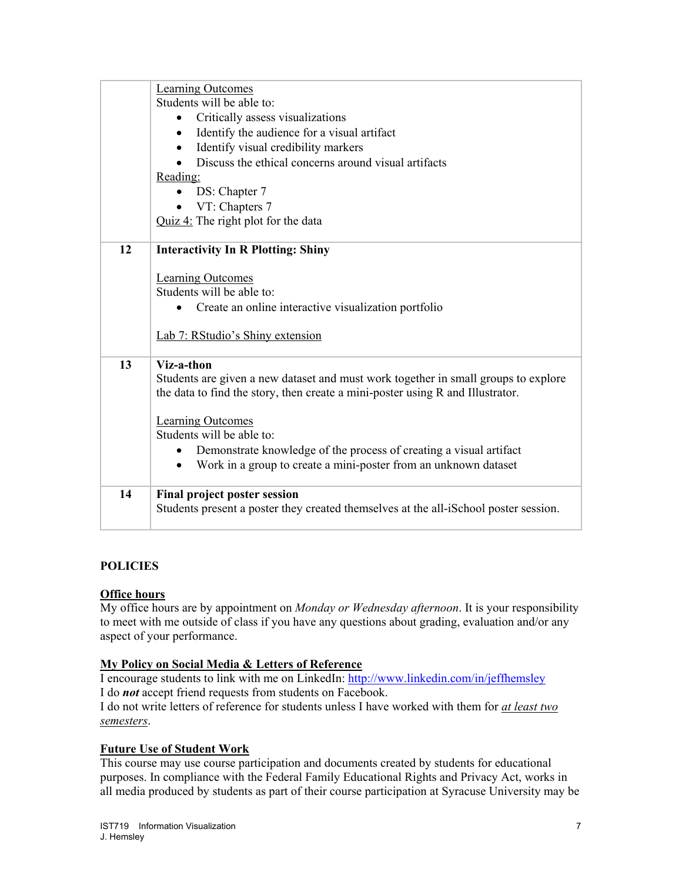|    | <b>Learning Outcomes</b>                                                             |
|----|--------------------------------------------------------------------------------------|
|    | Students will be able to:                                                            |
|    | Critically assess visualizations<br>$\bullet$                                        |
|    | Identify the audience for a visual artifact<br>$\bullet$                             |
|    | Identify visual credibility markers                                                  |
|    | Discuss the ethical concerns around visual artifacts                                 |
|    | Reading:                                                                             |
|    | DS: Chapter 7<br>$\bullet$                                                           |
|    | VT: Chapters 7                                                                       |
|    | Quiz $4$ : The right plot for the data                                               |
|    |                                                                                      |
| 12 | <b>Interactivity In R Plotting: Shiny</b>                                            |
|    |                                                                                      |
|    | <b>Learning Outcomes</b><br>Students will be able to:                                |
|    | Create an online interactive visualization portfolio                                 |
|    |                                                                                      |
|    | Lab 7: RStudio's Shiny extension                                                     |
|    |                                                                                      |
| 13 | Viz-a-thon                                                                           |
|    | Students are given a new dataset and must work together in small groups to explore   |
|    | the data to find the story, then create a mini-poster using R and Illustrator.       |
|    |                                                                                      |
|    | <b>Learning Outcomes</b>                                                             |
|    | Students will be able to:                                                            |
|    | Demonstrate knowledge of the process of creating a visual artifact<br>$\bullet$      |
|    | Work in a group to create a mini-poster from an unknown dataset<br>$\bullet$         |
| 14 | <b>Final project poster session</b>                                                  |
|    | Students present a poster they created themselves at the all-iSchool poster session. |
|    |                                                                                      |

#### **POLICIES**

#### **Office hours**

My office hours are by appointment on *Monday or Wednesday afternoon*. It is your responsibility to meet with me outside of class if you have any questions about grading, evaluation and/or any aspect of your performance.

#### **My Policy on Social Media & Letters of Reference**

I encourage students to link with me on LinkedIn: http://www.linkedin.com/in/jeffhemsley I do *not* accept friend requests from students on Facebook.

I do not write letters of reference for students unless I have worked with them for *at least two semesters*.

# **Future Use of Student Work**

This course may use course participation and documents created by students for educational purposes. In compliance with the Federal Family Educational Rights and Privacy Act, works in all media produced by students as part of their course participation at Syracuse University may be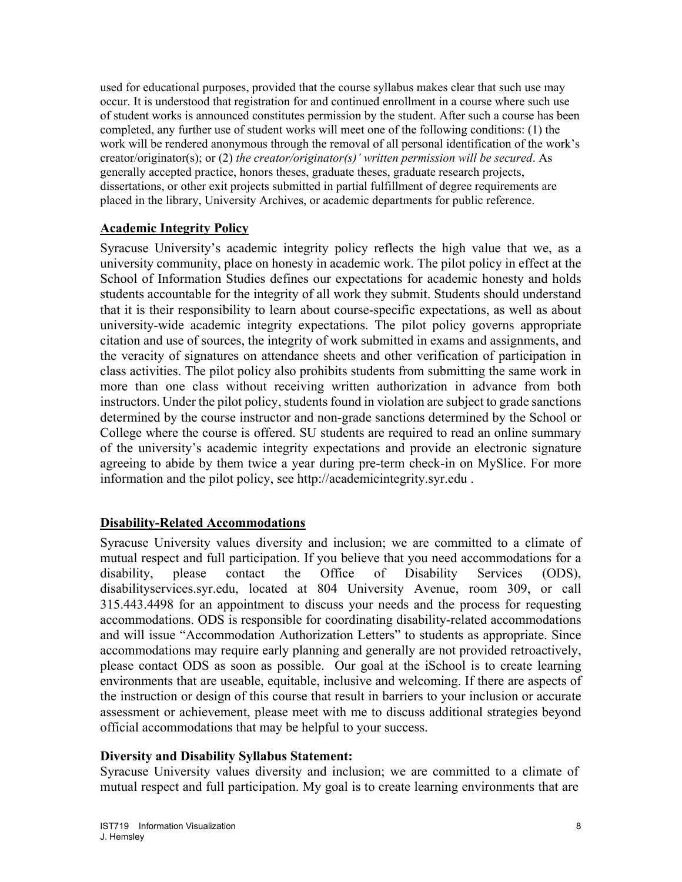used for educational purposes, provided that the course syllabus makes clear that such use may occur. It is understood that registration for and continued enrollment in a course where such use of student works is announced constitutes permission by the student. After such a course has been completed, any further use of student works will meet one of the following conditions: (1) the work will be rendered anonymous through the removal of all personal identification of the work's creator/originator(s); or (2) *the creator/originator(s)' written permission will be secured*. As generally accepted practice, honors theses, graduate theses, graduate research projects, dissertations, or other exit projects submitted in partial fulfillment of degree requirements are placed in the library, University Archives, or academic departments for public reference.

## **Academic Integrity Policy**

Syracuse University's academic integrity policy reflects the high value that we, as a university community, place on honesty in academic work. The pilot policy in effect at the School of Information Studies defines our expectations for academic honesty and holds students accountable for the integrity of all work they submit. Students should understand that it is their responsibility to learn about course-specific expectations, as well as about university-wide academic integrity expectations. The pilot policy governs appropriate citation and use of sources, the integrity of work submitted in exams and assignments, and the veracity of signatures on attendance sheets and other verification of participation in class activities. The pilot policy also prohibits students from submitting the same work in more than one class without receiving written authorization in advance from both instructors. Under the pilot policy, students found in violation are subject to grade sanctions determined by the course instructor and non-grade sanctions determined by the School or College where the course is offered. SU students are required to read an online summary of the university's academic integrity expectations and provide an electronic signature agreeing to abide by them twice a year during pre-term check-in on MySlice. For more information and the pilot policy, see http://academicintegrity.syr.edu .

# **Disability-Related Accommodations**

Syracuse University values diversity and inclusion; we are committed to a climate of mutual respect and full participation. If you believe that you need accommodations for a disability, please contact the Office of Disability Services (ODS), disabilityservices.syr.edu, located at 804 University Avenue, room 309, or call 315.443.4498 for an appointment to discuss your needs and the process for requesting accommodations. ODS is responsible for coordinating disability-related accommodations and will issue "Accommodation Authorization Letters" to students as appropriate. Since accommodations may require early planning and generally are not provided retroactively, please contact ODS as soon as possible. Our goal at the iSchool is to create learning environments that are useable, equitable, inclusive and welcoming. If there are aspects of the instruction or design of this course that result in barriers to your inclusion or accurate assessment or achievement, please meet with me to discuss additional strategies beyond official accommodations that may be helpful to your success.

#### **Diversity and Disability Syllabus Statement:**

Syracuse University values diversity and inclusion; we are committed to a climate of mutual respect and full participation. My goal is to create learning environments that are